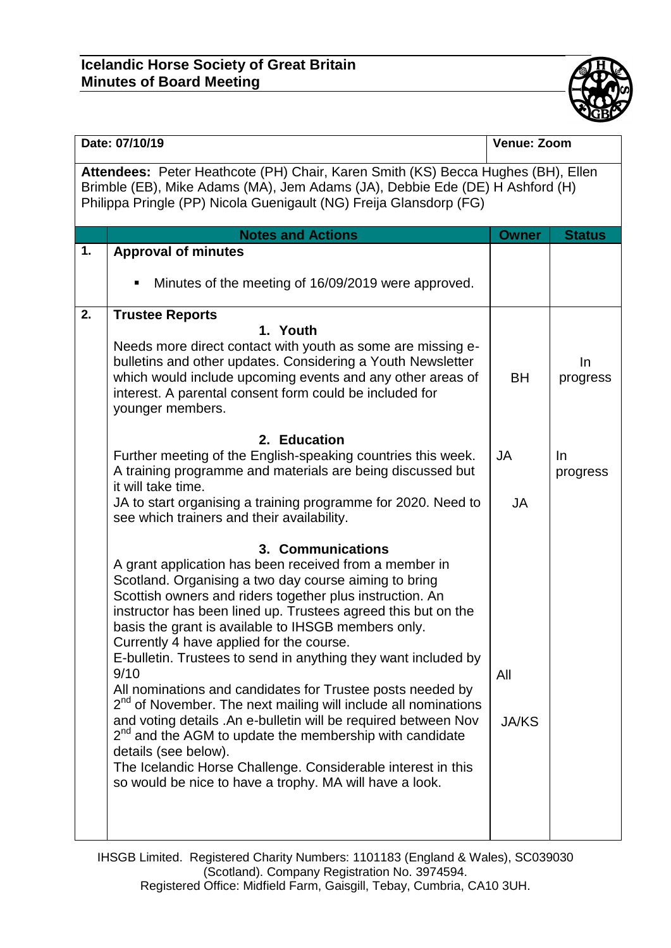## **Icelandic Horse Society of Great Britain Minutes of Board Meeting**



| Philippa Pringle (PP) Nicola Guenigault (NG) Freija Glansdorp (FG)<br><b>Notes and Actions</b><br>1.<br><b>Approval of minutes</b><br>Minutes of the meeting of 16/09/2019 were approved.<br>п<br>2.<br><b>Trustee Reports</b><br>1. Youth<br>Needs more direct contact with youth as some are missing e-                                                                                                                                                                                                                                                                                                                                                                                                                                                                                                                                                                                                                                                                                                                                                                                                                                                                                                                                                                                                                                                                      |                                                                                                                                                                  | Venue: Zoom                          |  |  |  |  |  |
|--------------------------------------------------------------------------------------------------------------------------------------------------------------------------------------------------------------------------------------------------------------------------------------------------------------------------------------------------------------------------------------------------------------------------------------------------------------------------------------------------------------------------------------------------------------------------------------------------------------------------------------------------------------------------------------------------------------------------------------------------------------------------------------------------------------------------------------------------------------------------------------------------------------------------------------------------------------------------------------------------------------------------------------------------------------------------------------------------------------------------------------------------------------------------------------------------------------------------------------------------------------------------------------------------------------------------------------------------------------------------------|------------------------------------------------------------------------------------------------------------------------------------------------------------------|--------------------------------------|--|--|--|--|--|
|                                                                                                                                                                                                                                                                                                                                                                                                                                                                                                                                                                                                                                                                                                                                                                                                                                                                                                                                                                                                                                                                                                                                                                                                                                                                                                                                                                                | Attendees: Peter Heathcote (PH) Chair, Karen Smith (KS) Becca Hughes (BH), Ellen<br>Brimble (EB), Mike Adams (MA), Jem Adams (JA), Debbie Ede (DE) H Ashford (H) |                                      |  |  |  |  |  |
|                                                                                                                                                                                                                                                                                                                                                                                                                                                                                                                                                                                                                                                                                                                                                                                                                                                                                                                                                                                                                                                                                                                                                                                                                                                                                                                                                                                | <b>Owner</b>                                                                                                                                                     | <b>Status</b>                        |  |  |  |  |  |
|                                                                                                                                                                                                                                                                                                                                                                                                                                                                                                                                                                                                                                                                                                                                                                                                                                                                                                                                                                                                                                                                                                                                                                                                                                                                                                                                                                                |                                                                                                                                                                  |                                      |  |  |  |  |  |
|                                                                                                                                                                                                                                                                                                                                                                                                                                                                                                                                                                                                                                                                                                                                                                                                                                                                                                                                                                                                                                                                                                                                                                                                                                                                                                                                                                                |                                                                                                                                                                  |                                      |  |  |  |  |  |
| bulletins and other updates. Considering a Youth Newsletter<br>which would include upcoming events and any other areas of<br>interest. A parental consent form could be included for<br>younger members.<br>2. Education<br>Further meeting of the English-speaking countries this week.<br>JA<br>A training programme and materials are being discussed but<br>it will take time.<br>JA to start organising a training programme for 2020. Need to<br>see which trainers and their availability.<br>3. Communications<br>A grant application has been received from a member in<br>Scotland. Organising a two day course aiming to bring<br>Scottish owners and riders together plus instruction. An<br>instructor has been lined up. Trustees agreed this but on the<br>basis the grant is available to IHSGB members only.<br>Currently 4 have applied for the course.<br>E-bulletin. Trustees to send in anything they want included by<br>9/10<br>All<br>All nominations and candidates for Trustee posts needed by<br>$2nd$ of November. The next mailing will include all nominations<br>and voting details .An e-bulletin will be required between Nov<br>$2nd$ and the AGM to update the membership with candidate<br>details (see below).<br>The Icelandic Horse Challenge. Considerable interest in this<br>so would be nice to have a trophy. MA will have a look. | <b>BH</b><br><b>JA</b><br><b>JA/KS</b>                                                                                                                           | $\ln$<br>progress<br>In.<br>progress |  |  |  |  |  |
|                                                                                                                                                                                                                                                                                                                                                                                                                                                                                                                                                                                                                                                                                                                                                                                                                                                                                                                                                                                                                                                                                                                                                                                                                                                                                                                                                                                |                                                                                                                                                                  |                                      |  |  |  |  |  |

IHSGB Limited. Registered Charity Numbers: 1101183 (England & Wales), SC039030 (Scotland). Company Registration No. 3974594. Registered Office: Midfield Farm, Gaisgill, Tebay, Cumbria, CA10 3UH.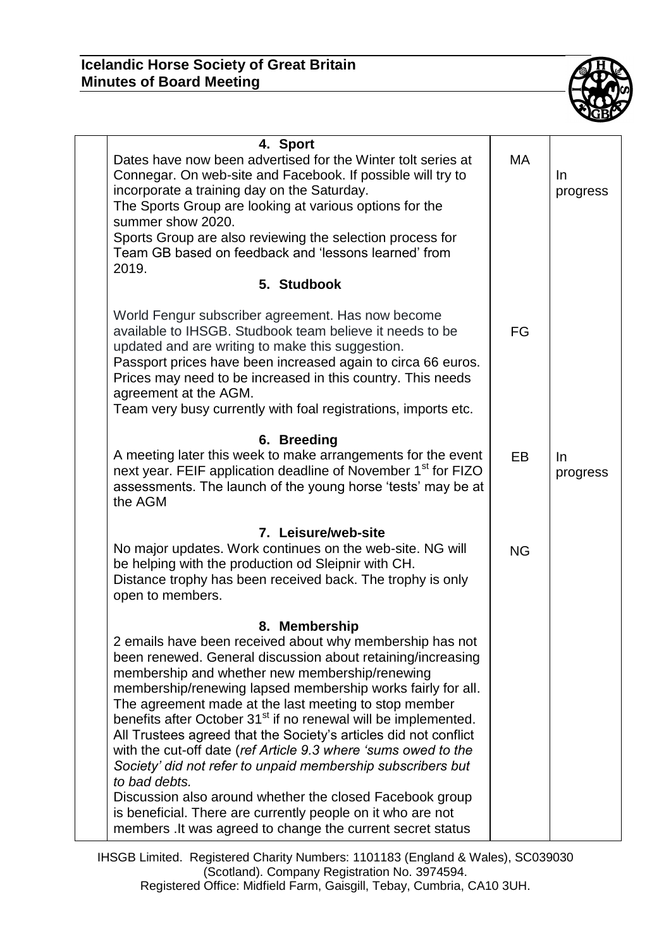## **Icelandic Horse Society of Great Britain Minutes of Board Meeting**



| 4. Sport<br>Dates have now been advertised for the Winter tolt series at<br>Connegar. On web-site and Facebook. If possible will try to<br>incorporate a training day on the Saturday.<br>The Sports Group are looking at various options for the<br>summer show 2020.<br>Sports Group are also reviewing the selection process for<br>Team GB based on feedback and 'lessons learned' from<br>2019.                                                                                                                                                                                                                                                                                                                                                                                                             | МA        | In<br>progress    |
|------------------------------------------------------------------------------------------------------------------------------------------------------------------------------------------------------------------------------------------------------------------------------------------------------------------------------------------------------------------------------------------------------------------------------------------------------------------------------------------------------------------------------------------------------------------------------------------------------------------------------------------------------------------------------------------------------------------------------------------------------------------------------------------------------------------|-----------|-------------------|
| 5. Studbook                                                                                                                                                                                                                                                                                                                                                                                                                                                                                                                                                                                                                                                                                                                                                                                                      |           |                   |
| World Fengur subscriber agreement. Has now become<br>available to IHSGB. Studbook team believe it needs to be<br>updated and are writing to make this suggestion.<br>Passport prices have been increased again to circa 66 euros.<br>Prices may need to be increased in this country. This needs<br>agreement at the AGM.<br>Team very busy currently with foal registrations, imports etc.                                                                                                                                                                                                                                                                                                                                                                                                                      | FG        |                   |
| 6. Breeding<br>A meeting later this week to make arrangements for the event<br>next year. FEIF application deadline of November 1 <sup>st</sup> for FIZO<br>assessments. The launch of the young horse 'tests' may be at<br>the AGM                                                                                                                                                                                                                                                                                                                                                                                                                                                                                                                                                                              | <b>EB</b> | $\ln$<br>progress |
| 7. Leisure/web-site<br>No major updates. Work continues on the web-site. NG will<br>be helping with the production od Sleipnir with CH.<br>Distance trophy has been received back. The trophy is only<br>open to members.                                                                                                                                                                                                                                                                                                                                                                                                                                                                                                                                                                                        | <b>NG</b> |                   |
| 8. Membership<br>2 emails have been received about why membership has not<br>been renewed. General discussion about retaining/increasing<br>membership and whether new membership/renewing<br>membership/renewing lapsed membership works fairly for all.<br>The agreement made at the last meeting to stop member<br>benefits after October 31 <sup>st</sup> if no renewal will be implemented.<br>All Trustees agreed that the Society's articles did not conflict<br>with the cut-off date (ref Article 9.3 where 'sums owed to the<br>Society' did not refer to unpaid membership subscribers but<br>to bad debts.<br>Discussion also around whether the closed Facebook group<br>is beneficial. There are currently people on it who are not<br>members . It was agreed to change the current secret status |           |                   |

IHSGB Limited. Registered Charity Numbers: 1101183 (England & Wales), SC039030 (Scotland). Company Registration No. 3974594. Registered Office: Midfield Farm, Gaisgill, Tebay, Cumbria, CA10 3UH.